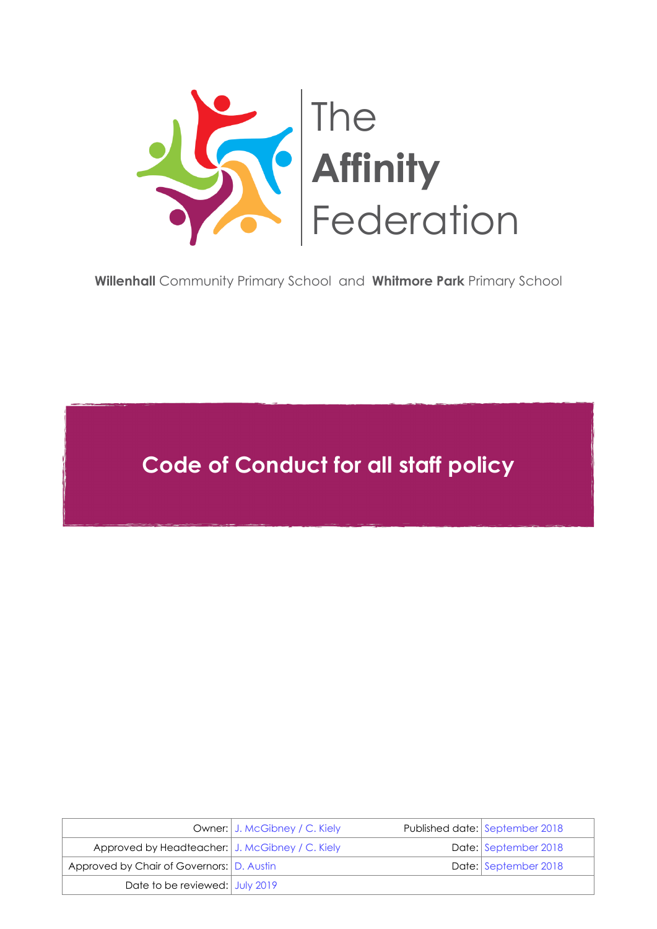

**Willenhall** [Community Primary School](http://www.willenhallprimary.org/) and **Whitmore Park** [Primary School](http://www.whitmorepark.org/)

**Code of Conduct for all staff policy**

|                                                 | Owner: J. McGibney / C. Kiely | Published date: September 2018 |
|-------------------------------------------------|-------------------------------|--------------------------------|
| Approved by Headteacher: J. McGibney / C. Kiely |                               | Date: September 2018           |
| Approved by Chair of Governors: D. Austin       |                               | Date: September 2018           |
| Date to be reviewed: July 2019                  |                               |                                |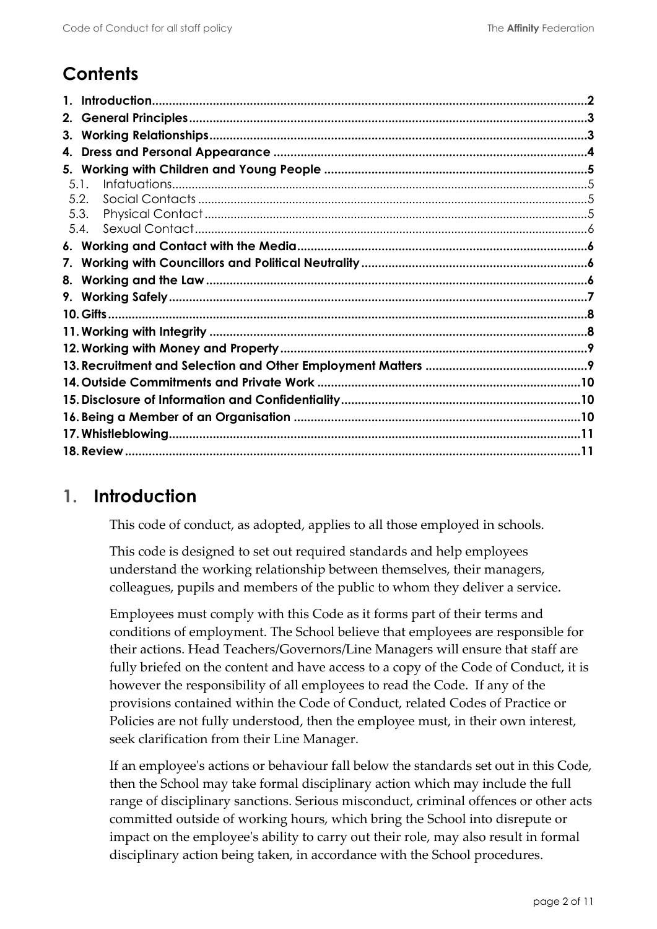# **Contents**

| 2.      |  |  |
|---------|--|--|
| 3.      |  |  |
| 4.      |  |  |
|         |  |  |
| $5.1$ . |  |  |
| 5.2.    |  |  |
| 5.3.    |  |  |
| 5.4.    |  |  |
|         |  |  |
|         |  |  |
| 8.      |  |  |
|         |  |  |
|         |  |  |
|         |  |  |
|         |  |  |
|         |  |  |
|         |  |  |
|         |  |  |
|         |  |  |
|         |  |  |
|         |  |  |

### <span id="page-1-0"></span>**1. Introduction**

This code of conduct, as adopted, applies to all those employed in schools.

This code is designed to set out required standards and help employees understand the working relationship between themselves, their managers, colleagues, pupils and members of the public to whom they deliver a service.

Employees must comply with this Code as it forms part of their terms and conditions of employment. The School believe that employees are responsible for their actions. Head Teachers/Governors/Line Managers will ensure that staff are fully briefed on the content and have access to a copy of the Code of Conduct, it is however the responsibility of all employees to read the Code. If any of the provisions contained within the Code of Conduct, related Codes of Practice or Policies are not fully understood, then the employee must, in their own interest, seek clarification from their Line Manager.

If an employee's actions or behaviour fall below the standards set out in this Code, then the School may take formal disciplinary action which may include the full range of disciplinary sanctions. Serious misconduct, criminal offences or other acts committed outside of working hours, which bring the School into disrepute or impact on the employee's ability to carry out their role, may also result in formal disciplinary action being taken, in accordance with the School procedures.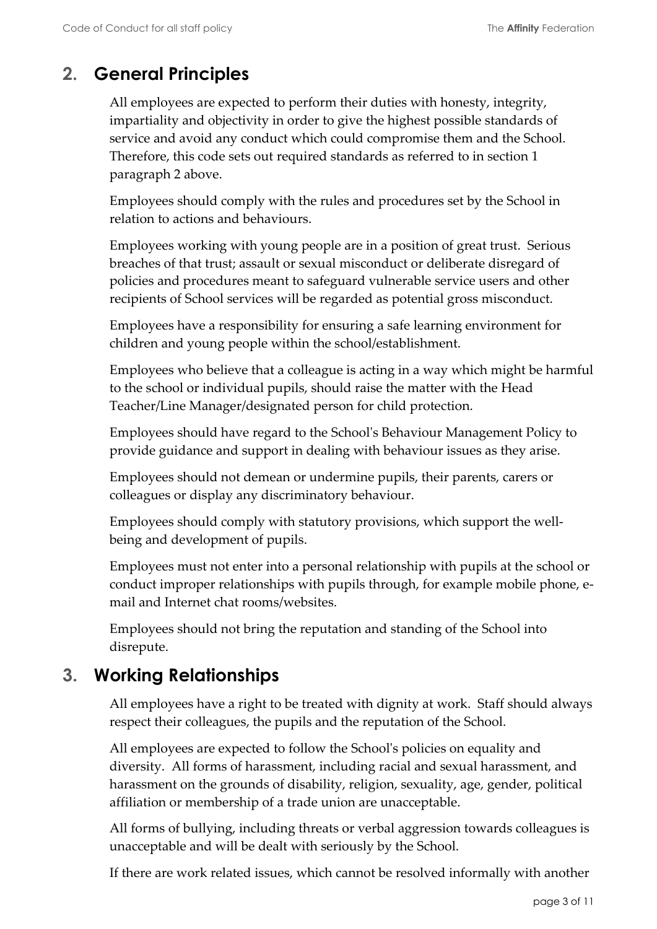# <span id="page-2-0"></span>**2. General Principles**

All employees are expected to perform their duties with honesty, integrity, impartiality and objectivity in order to give the highest possible standards of service and avoid any conduct which could compromise them and the School. Therefore, this code sets out required standards as referred to in section 1 paragraph 2 above.

Employees should comply with the rules and procedures set by the School in relation to actions and behaviours.

Employees working with young people are in a position of great trust. Serious breaches of that trust; assault or sexual misconduct or deliberate disregard of policies and procedures meant to safeguard vulnerable service users and other recipients of School services will be regarded as potential gross misconduct.

Employees have a responsibility for ensuring a safe learning environment for children and young people within the school/establishment.

Employees who believe that a colleague is acting in a way which might be harmful to the school or individual pupils, should raise the matter with the Head Teacher/Line Manager/designated person for child protection.

Employees should have regard to the School's Behaviour Management Policy to provide guidance and support in dealing with behaviour issues as they arise.

Employees should not demean or undermine pupils, their parents, carers or colleagues or display any discriminatory behaviour.

Employees should comply with statutory provisions, which support the wellbeing and development of pupils.

Employees must not enter into a personal relationship with pupils at the school or conduct improper relationships with pupils through, for example mobile phone, email and Internet chat rooms/websites.

Employees should not bring the reputation and standing of the School into disrepute.

# <span id="page-2-1"></span>**3. Working Relationships**

All employees have a right to be treated with dignity at work. Staff should always respect their colleagues, the pupils and the reputation of the School.

All employees are expected to follow the School's policies on equality and diversity. All forms of harassment, including racial and sexual harassment, and harassment on the grounds of disability, religion, sexuality, age, gender, political affiliation or membership of a trade union are unacceptable.

All forms of bullying, including threats or verbal aggression towards colleagues is unacceptable and will be dealt with seriously by the School.

If there are work related issues, which cannot be resolved informally with another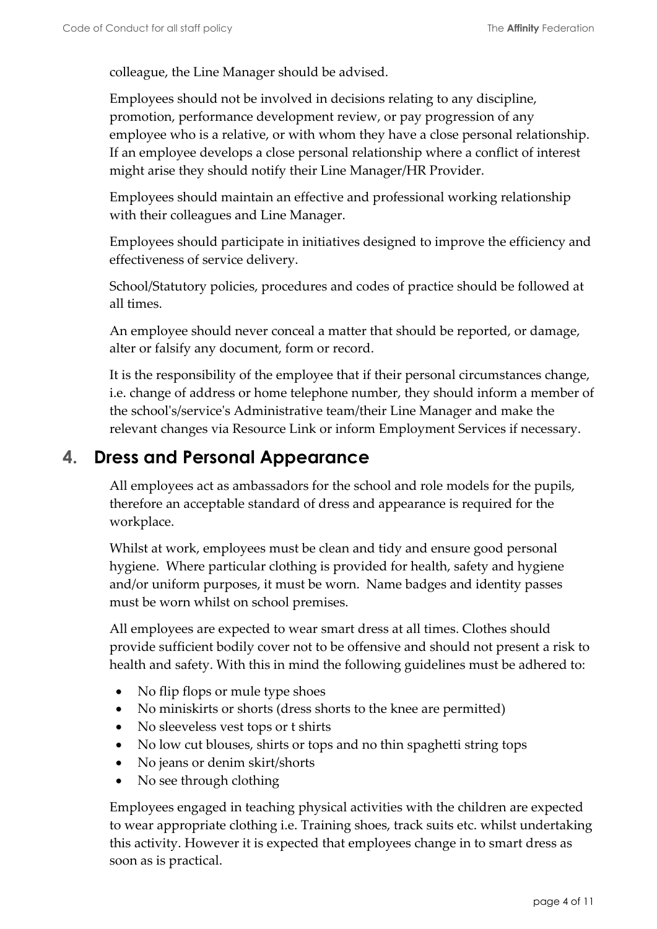colleague, the Line Manager should be advised.

Employees should not be involved in decisions relating to any discipline, promotion, performance development review, or pay progression of any employee who is a relative, or with whom they have a close personal relationship. If an employee develops a close personal relationship where a conflict of interest might arise they should notify their Line Manager/HR Provider.

Employees should maintain an effective and professional working relationship with their colleagues and Line Manager.

Employees should participate in initiatives designed to improve the efficiency and effectiveness of service delivery.

School/Statutory policies, procedures and codes of practice should be followed at all times.

An employee should never conceal a matter that should be reported, or damage, alter or falsify any document, form or record.

It is the responsibility of the employee that if their personal circumstances change, i.e. change of address or home telephone number, they should inform a member of the school's/service's Administrative team/their Line Manager and make the relevant changes via Resource Link or inform Employment Services if necessary.

#### <span id="page-3-0"></span>**4. Dress and Personal Appearance**

All employees act as ambassadors for the school and role models for the pupils, therefore an acceptable standard of dress and appearance is required for the workplace.

Whilst at work, employees must be clean and tidy and ensure good personal hygiene. Where particular clothing is provided for health, safety and hygiene and/or uniform purposes, it must be worn. Name badges and identity passes must be worn whilst on school premises.

All employees are expected to wear smart dress at all times. Clothes should provide sufficient bodily cover not to be offensive and should not present a risk to health and safety. With this in mind the following guidelines must be adhered to:

- No flip flops or mule type shoes
- No miniskirts or shorts (dress shorts to the knee are permitted)
- No sleeveless vest tops or t shirts
- No low cut blouses, shirts or tops and no thin spaghetti string tops
- No jeans or denim skirt/shorts
- No see through clothing

Employees engaged in teaching physical activities with the children are expected to wear appropriate clothing i.e. Training shoes, track suits etc. whilst undertaking this activity. However it is expected that employees change in to smart dress as soon as is practical.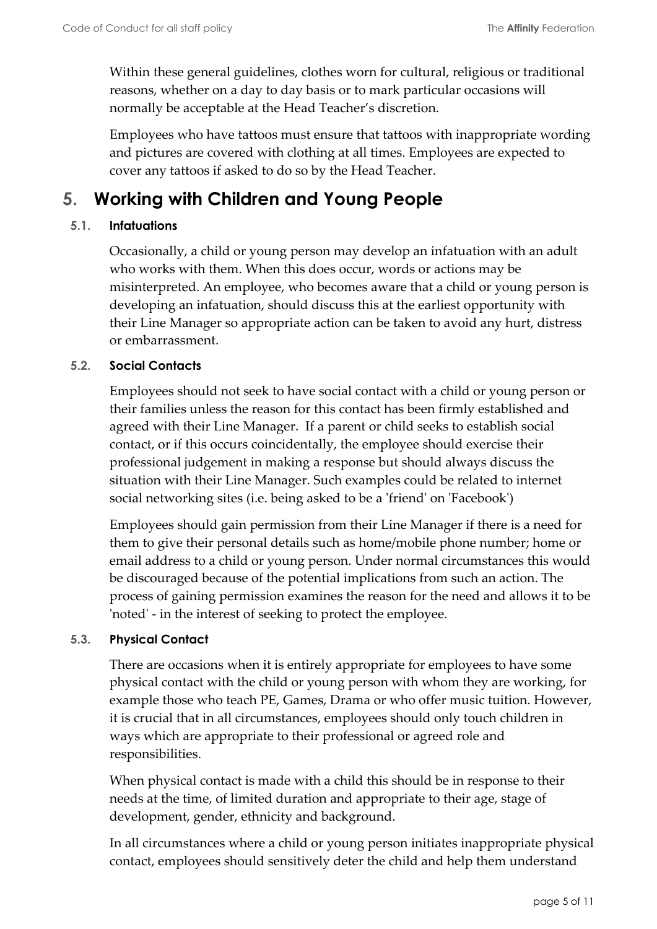Within these general guidelines, clothes worn for cultural, religious or traditional reasons, whether on a day to day basis or to mark particular occasions will normally be acceptable at the Head Teacher's discretion.

Employees who have tattoos must ensure that tattoos with inappropriate wording and pictures are covered with clothing at all times. Employees are expected to cover any tattoos if asked to do so by the Head Teacher.

## <span id="page-4-0"></span>**5. Working with Children and Young People**

#### <span id="page-4-1"></span>**5.1. Infatuations**

Occasionally, a child or young person may develop an infatuation with an adult who works with them. When this does occur, words or actions may be misinterpreted. An employee, who becomes aware that a child or young person is developing an infatuation, should discuss this at the earliest opportunity with their Line Manager so appropriate action can be taken to avoid any hurt, distress or embarrassment.

#### <span id="page-4-2"></span>**5.2. Social Contacts**

Employees should not seek to have social contact with a child or young person or their families unless the reason for this contact has been firmly established and agreed with their Line Manager. If a parent or child seeks to establish social contact, or if this occurs coincidentally, the employee should exercise their professional judgement in making a response but should always discuss the situation with their Line Manager. Such examples could be related to internet social networking sites (i.e. being asked to be a 'friend' on 'Facebook')

Employees should gain permission from their Line Manager if there is a need for them to give their personal details such as home/mobile phone number; home or email address to a child or young person. Under normal circumstances this would be discouraged because of the potential implications from such an action. The process of gaining permission examines the reason for the need and allows it to be 'noted' - in the interest of seeking to protect the employee.

#### <span id="page-4-3"></span>**5.3. Physical Contact**

There are occasions when it is entirely appropriate for employees to have some physical contact with the child or young person with whom they are working, for example those who teach PE, Games, Drama or who offer music tuition. However, it is crucial that in all circumstances, employees should only touch children in ways which are appropriate to their professional or agreed role and responsibilities.

When physical contact is made with a child this should be in response to their needs at the time, of limited duration and appropriate to their age, stage of development, gender, ethnicity and background.

In all circumstances where a child or young person initiates inappropriate physical contact, employees should sensitively deter the child and help them understand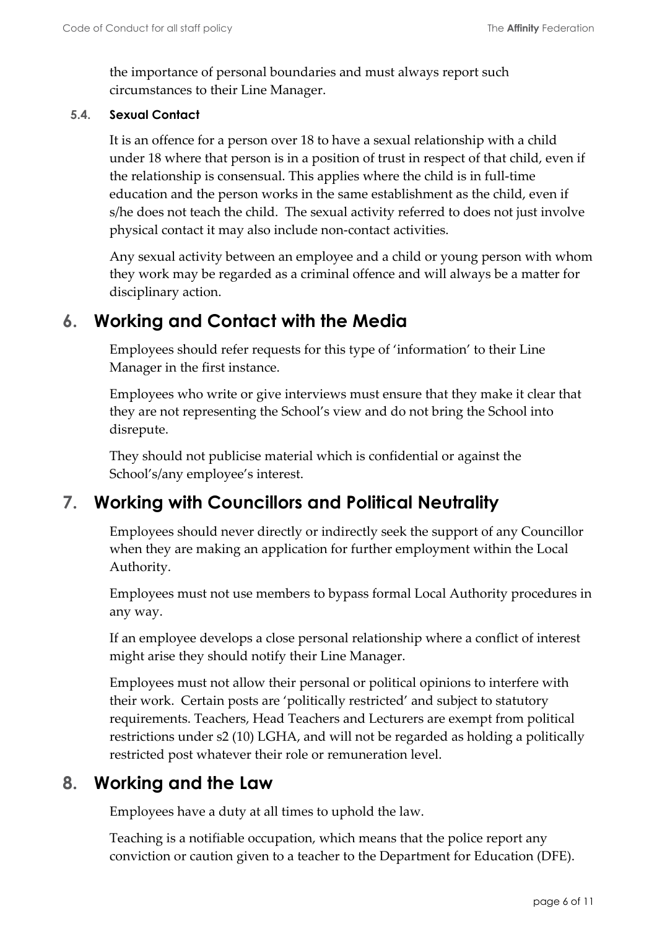the importance of personal boundaries and must always report such circumstances to their Line Manager.

#### <span id="page-5-0"></span>**5.4. Sexual Contact**

It is an offence for a person over 18 to have a sexual relationship with a child under 18 where that person is in a position of trust in respect of that child, even if the relationship is consensual. This applies where the child is in full-time education and the person works in the same establishment as the child, even if s/he does not teach the child. The sexual activity referred to does not just involve physical contact it may also include non-contact activities.

Any sexual activity between an employee and a child or young person with whom they work may be regarded as a criminal offence and will always be a matter for disciplinary action.

### <span id="page-5-1"></span>**6. Working and Contact with the Media**

Employees should refer requests for this type of 'information' to their Line Manager in the first instance.

Employees who write or give interviews must ensure that they make it clear that they are not representing the School's view and do not bring the School into disrepute.

They should not publicise material which is confidential or against the School's/any employee's interest.

### <span id="page-5-2"></span>**7. Working with Councillors and Political Neutrality**

Employees should never directly or indirectly seek the support of any Councillor when they are making an application for further employment within the Local Authority.

Employees must not use members to bypass formal Local Authority procedures in any way.

If an employee develops a close personal relationship where a conflict of interest might arise they should notify their Line Manager.

Employees must not allow their personal or political opinions to interfere with their work. Certain posts are 'politically restricted' and subject to statutory requirements. Teachers, Head Teachers and Lecturers are exempt from political restrictions under s2 (10) LGHA, and will not be regarded as holding a politically restricted post whatever their role or remuneration level.

#### <span id="page-5-3"></span>**8. Working and the Law**

Employees have a duty at all times to uphold the law.

Teaching is a notifiable occupation, which means that the police report any conviction or caution given to a teacher to the Department for Education (DFE).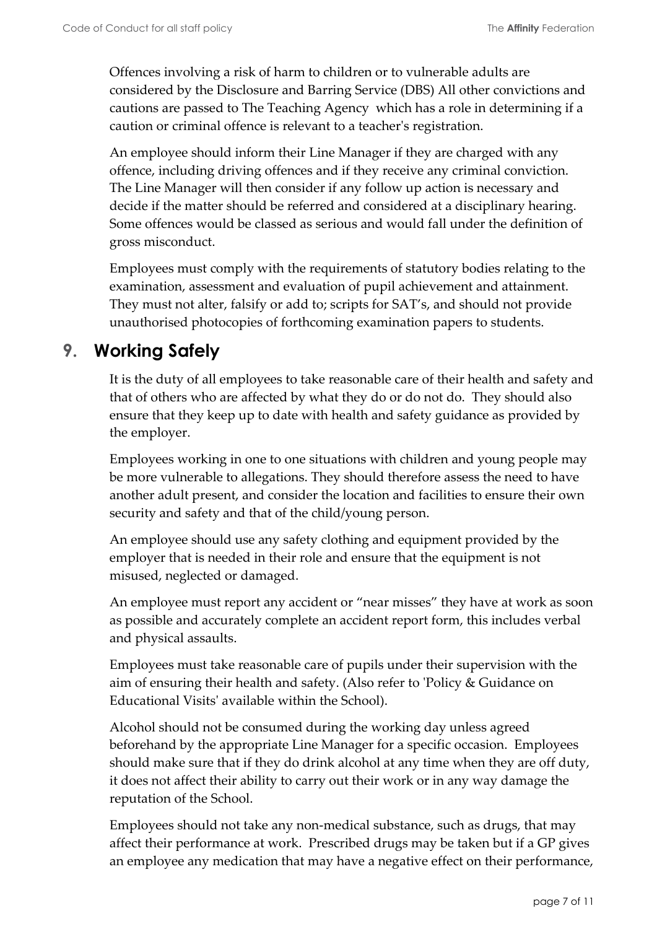Offences involving a risk of harm to children or to vulnerable adults are considered by the Disclosure and Barring Service (DBS) All other convictions and cautions are passed to The Teaching Agency which has a role in determining if a caution or criminal offence is relevant to a teacher's registration.

An employee should inform their Line Manager if they are charged with any offence, including driving offences and if they receive any criminal conviction. The Line Manager will then consider if any follow up action is necessary and decide if the matter should be referred and considered at a disciplinary hearing. Some offences would be classed as serious and would fall under the definition of gross misconduct.

Employees must comply with the requirements of statutory bodies relating to the examination, assessment and evaluation of pupil achievement and attainment. They must not alter, falsify or add to; scripts for SAT's, and should not provide unauthorised photocopies of forthcoming examination papers to students.

## <span id="page-6-0"></span>**9. Working Safely**

It is the duty of all employees to take reasonable care of their health and safety and that of others who are affected by what they do or do not do. They should also ensure that they keep up to date with health and safety guidance as provided by the employer.

Employees working in one to one situations with children and young people may be more vulnerable to allegations. They should therefore assess the need to have another adult present, and consider the location and facilities to ensure their own security and safety and that of the child/young person.

An employee should use any safety clothing and equipment provided by the employer that is needed in their role and ensure that the equipment is not misused, neglected or damaged.

An employee must report any accident or "near misses" they have at work as soon as possible and accurately complete an accident report form, this includes verbal and physical assaults.

Employees must take reasonable care of pupils under their supervision with the aim of ensuring their health and safety. (Also refer to 'Policy & Guidance on Educational Visits' available within the School).

Alcohol should not be consumed during the working day unless agreed beforehand by the appropriate Line Manager for a specific occasion. Employees should make sure that if they do drink alcohol at any time when they are off duty, it does not affect their ability to carry out their work or in any way damage the reputation of the School.

Employees should not take any non-medical substance, such as drugs, that may affect their performance at work. Prescribed drugs may be taken but if a GP gives an employee any medication that may have a negative effect on their performance,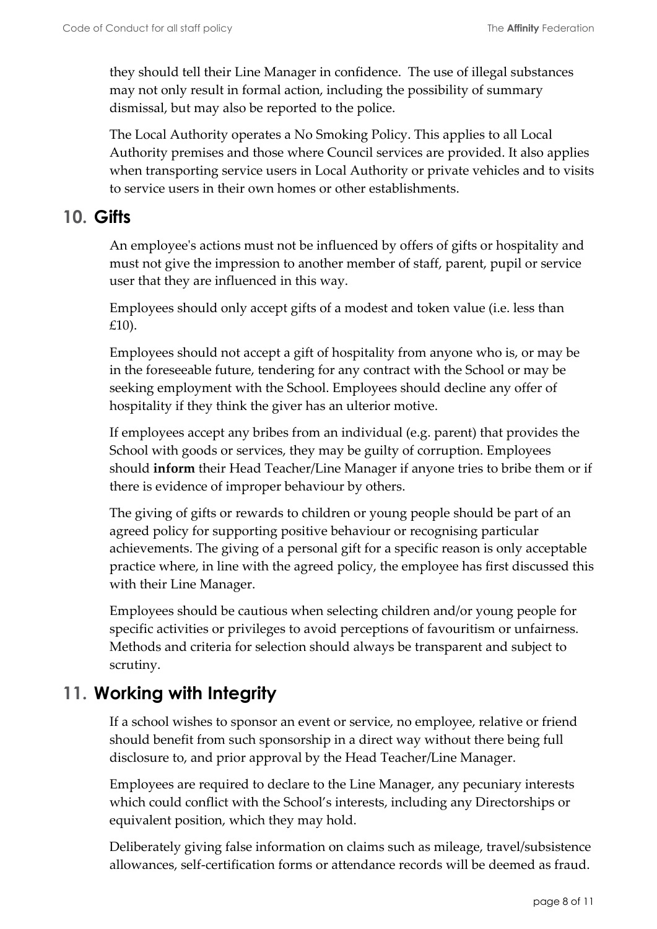they should tell their Line Manager in confidence. The use of illegal substances may not only result in formal action, including the possibility of summary dismissal, but may also be reported to the police.

The Local Authority operates a No Smoking Policy. This applies to all Local Authority premises and those where Council services are provided. It also applies when transporting service users in Local Authority or private vehicles and to visits to service users in their own homes or other establishments.

#### <span id="page-7-0"></span>**10. Gifts**

An employee's actions must not be influenced by offers of gifts or hospitality and must not give the impression to another member of staff, parent, pupil or service user that they are influenced in this way.

Employees should only accept gifts of a modest and token value (i.e. less than £10).

Employees should not accept a gift of hospitality from anyone who is, or may be in the foreseeable future, tendering for any contract with the School or may be seeking employment with the School. Employees should decline any offer of hospitality if they think the giver has an ulterior motive.

If employees accept any bribes from an individual (e.g. parent) that provides the School with goods or services, they may be guilty of corruption. Employees should **inform** their Head Teacher/Line Manager if anyone tries to bribe them or if there is evidence of improper behaviour by others.

The giving of gifts or rewards to children or young people should be part of an agreed policy for supporting positive behaviour or recognising particular achievements. The giving of a personal gift for a specific reason is only acceptable practice where, in line with the agreed policy, the employee has first discussed this with their Line Manager.

Employees should be cautious when selecting children and/or young people for specific activities or privileges to avoid perceptions of favouritism or unfairness. Methods and criteria for selection should always be transparent and subject to scrutiny.

## <span id="page-7-1"></span>**11. Working with Integrity**

If a school wishes to sponsor an event or service, no employee, relative or friend should benefit from such sponsorship in a direct way without there being full disclosure to, and prior approval by the Head Teacher/Line Manager.

Employees are required to declare to the Line Manager, any pecuniary interests which could conflict with the School's interests, including any Directorships or equivalent position, which they may hold.

Deliberately giving false information on claims such as mileage, travel/subsistence allowances, self-certification forms or attendance records will be deemed as fraud.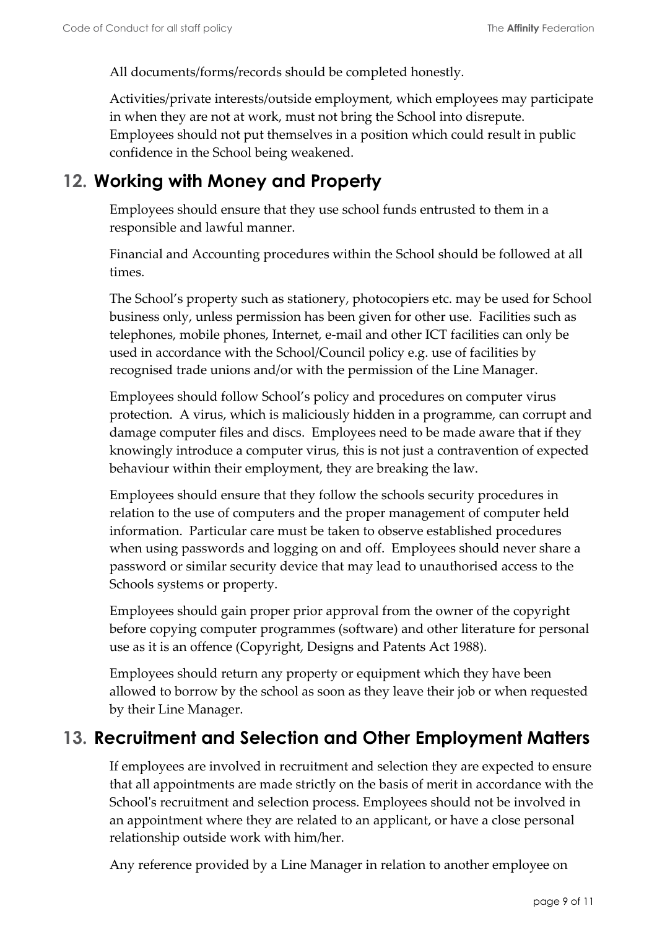All documents/forms/records should be completed honestly.

Activities/private interests/outside employment, which employees may participate in when they are not at work, must not bring the School into disrepute. Employees should not put themselves in a position which could result in public confidence in the School being weakened.

### <span id="page-8-0"></span>**12. Working with Money and Property**

Employees should ensure that they use school funds entrusted to them in a responsible and lawful manner.

Financial and Accounting procedures within the School should be followed at all times.

The School's property such as stationery, photocopiers etc. may be used for School business only, unless permission has been given for other use. Facilities such as telephones, mobile phones, Internet, e-mail and other ICT facilities can only be used in accordance with the School/Council policy e.g. use of facilities by recognised trade unions and/or with the permission of the Line Manager.

Employees should follow School's policy and procedures on computer virus protection. A virus, which is maliciously hidden in a programme, can corrupt and damage computer files and discs. Employees need to be made aware that if they knowingly introduce a computer virus, this is not just a contravention of expected behaviour within their employment, they are breaking the law.

Employees should ensure that they follow the schools security procedures in relation to the use of computers and the proper management of computer held information. Particular care must be taken to observe established procedures when using passwords and logging on and off. Employees should never share a password or similar security device that may lead to unauthorised access to the Schools systems or property.

Employees should gain proper prior approval from the owner of the copyright before copying computer programmes (software) and other literature for personal use as it is an offence (Copyright, Designs and Patents Act 1988).

Employees should return any property or equipment which they have been allowed to borrow by the school as soon as they leave their job or when requested by their Line Manager.

### <span id="page-8-1"></span>**13. Recruitment and Selection and Other Employment Matters**

If employees are involved in recruitment and selection they are expected to ensure that all appointments are made strictly on the basis of merit in accordance with the School's recruitment and selection process. Employees should not be involved in an appointment where they are related to an applicant, or have a close personal relationship outside work with him/her.

Any reference provided by a Line Manager in relation to another employee on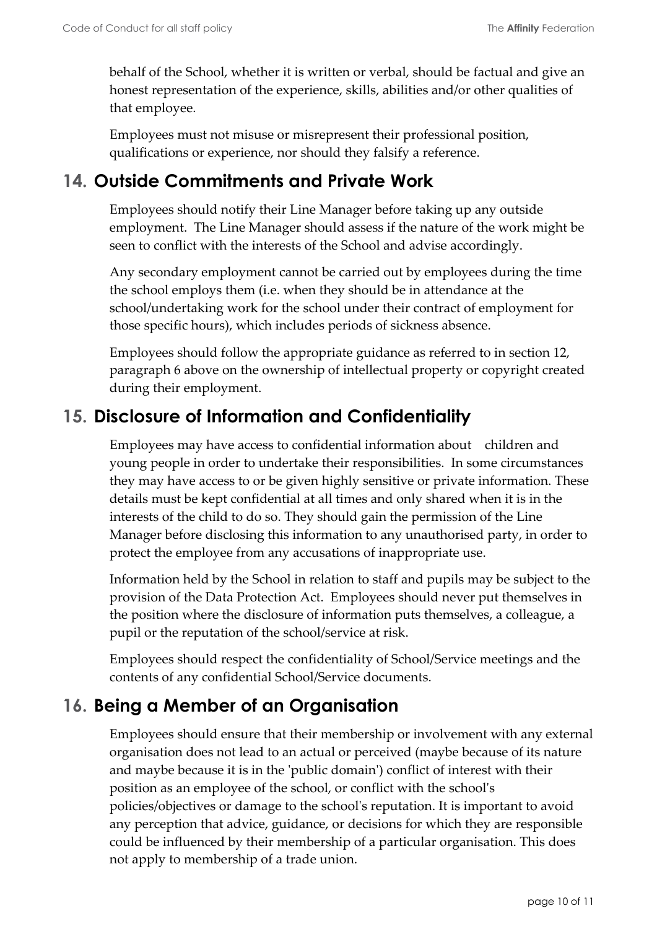behalf of the School, whether it is written or verbal, should be factual and give an honest representation of the experience, skills, abilities and/or other qualities of that employee.

Employees must not misuse or misrepresent their professional position, qualifications or experience, nor should they falsify a reference.

## <span id="page-9-0"></span>**14. Outside Commitments and Private Work**

Employees should notify their Line Manager before taking up any outside employment. The Line Manager should assess if the nature of the work might be seen to conflict with the interests of the School and advise accordingly.

Any secondary employment cannot be carried out by employees during the time the school employs them (i.e. when they should be in attendance at the school/undertaking work for the school under their contract of employment for those specific hours), which includes periods of sickness absence.

Employees should follow the appropriate guidance as referred to in section 12, paragraph 6 above on the ownership of intellectual property or copyright created during their employment.

## <span id="page-9-1"></span>**15. Disclosure of Information and Confidentiality**

Employees may have access to confidential information about children and young people in order to undertake their responsibilities. In some circumstances they may have access to or be given highly sensitive or private information. These details must be kept confidential at all times and only shared when it is in the interests of the child to do so. They should gain the permission of the Line Manager before disclosing this information to any unauthorised party, in order to protect the employee from any accusations of inappropriate use.

Information held by the School in relation to staff and pupils may be subject to the provision of the Data Protection Act. Employees should never put themselves in the position where the disclosure of information puts themselves, a colleague, a pupil or the reputation of the school/service at risk.

Employees should respect the confidentiality of School/Service meetings and the contents of any confidential School/Service documents.

## <span id="page-9-2"></span>**16. Being a Member of an Organisation**

Employees should ensure that their membership or involvement with any external organisation does not lead to an actual or perceived (maybe because of its nature and maybe because it is in the 'public domain') conflict of interest with their position as an employee of the school, or conflict with the school's policies/objectives or damage to the school's reputation. It is important to avoid any perception that advice, guidance, or decisions for which they are responsible could be influenced by their membership of a particular organisation. This does not apply to membership of a trade union.